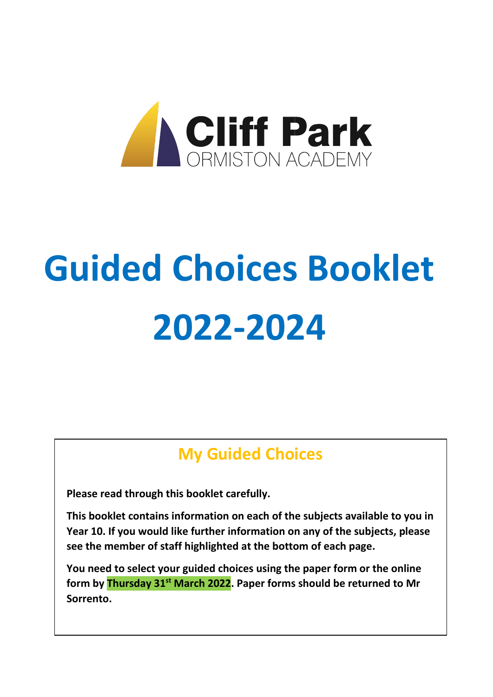

# **Guided Choices Booklet 2022-2024**

# **My Guided Choices**

**Please read through this booklet carefully.**

**This booklet contains information on each of the subjects available to you in Year 10. If you would like further information on any of the subjects, please see the member of staff highlighted at the bottom of each page.**

**You need to select your guided choices using the paper form or the online form by Thursday 31st March 2022. Paper forms should be returned to Mr Sorrento.**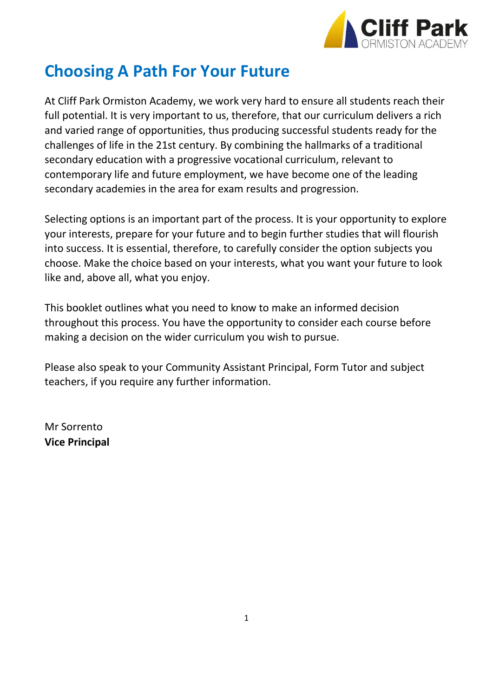

# **Choosing A Path For Your Future**

At Cliff Park Ormiston Academy, we work very hard to ensure all students reach their full potential. It is very important to us, therefore, that our curriculum delivers a rich and varied range of opportunities, thus producing successful students ready for the challenges of life in the 21st century. By combining the hallmarks of a traditional secondary education with a progressive vocational curriculum, relevant to contemporary life and future employment, we have become one of the leading secondary academies in the area for exam results and progression.

Selecting options is an important part of the process. It is your opportunity to explore your interests, prepare for your future and to begin further studies that will flourish into success. It is essential, therefore, to carefully consider the option subjects you choose. Make the choice based on your interests, what you want your future to look like and, above all, what you enjoy.

This booklet outlines what you need to know to make an informed decision throughout this process. You have the opportunity to consider each course before making a decision on the wider curriculum you wish to pursue.

Please also speak to your Community Assistant Principal, Form Tutor and subject teachers, if you require any further information.

Mr Sorrento **Vice Principal**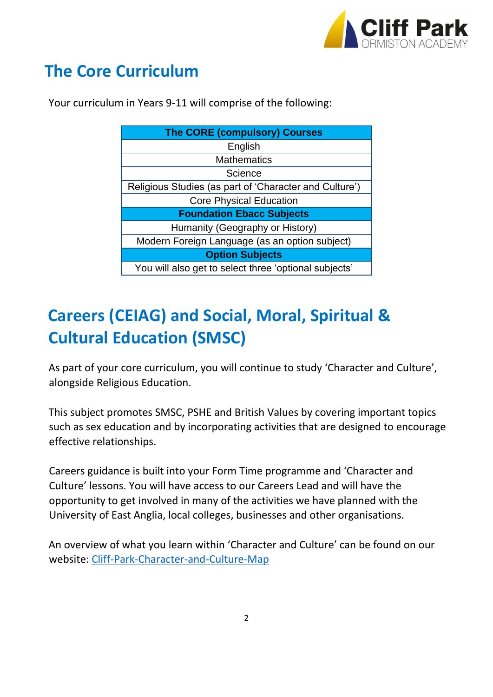

# **The Core Curriculum**

|  |  |  |  |  | Your curriculum in Years 9-11 will comprise of the following: |
|--|--|--|--|--|---------------------------------------------------------------|
|--|--|--|--|--|---------------------------------------------------------------|

| <b>The CORE (compulsory) Courses</b>                   |  |  |  |  |  |
|--------------------------------------------------------|--|--|--|--|--|
| English                                                |  |  |  |  |  |
| <b>Mathematics</b>                                     |  |  |  |  |  |
| Science                                                |  |  |  |  |  |
| Religious Studies (as part of 'Character and Culture') |  |  |  |  |  |
| <b>Core Physical Education</b>                         |  |  |  |  |  |
| <b>Foundation Ebacc Subjects</b>                       |  |  |  |  |  |
| Humanity (Geography or History)                        |  |  |  |  |  |
| Modern Foreign Language (as an option subject)         |  |  |  |  |  |
| <b>Option Subjects</b>                                 |  |  |  |  |  |
| You will also get to select three 'optional subjects'  |  |  |  |  |  |

# **Careers (CEIAG) and Social, Moral, Spiritual & Cultural Education (SMSC)**

As part of your core curriculum, you will continue to study 'Character and Culture', alongside Religious Education.

This subject promotes SMSC, PSHE and British Values by covering important topics such as sex education and by incorporating activities that are designed to encourage effective relationships.

Careers guidance is built into your Form Time programme and 'Character and Culture' lessons. You will have access to our Careers Lead and will have the opportunity to get involved in many of the activities we have planned with the University of East Anglia, local colleges, businesses and other organisations.

An overview of what you learn within 'Character and Culture' can be found on our website: [Cliff-Park-Character-and-Culture-Map](https://www.cliffparkoa.co.uk/wp-content/uploads/2021/09/Cliff-Park-Character-and-Culture-Map-CPCC-2021-22.pdf)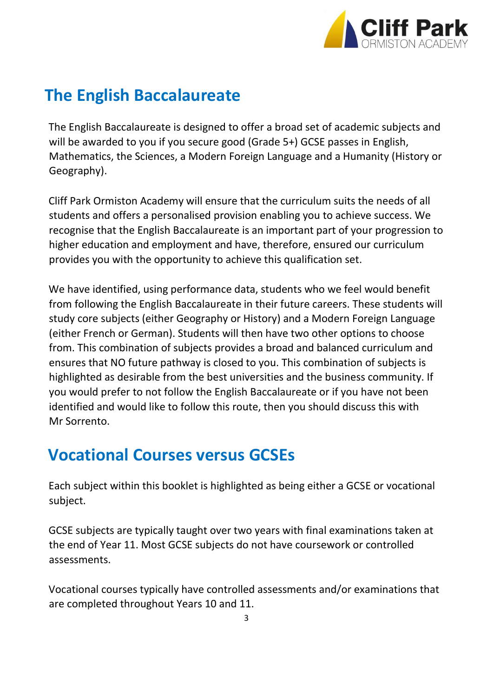

# **The English Baccalaureate**

The English Baccalaureate is designed to offer a broad set of academic subjects and will be awarded to you if you secure good (Grade 5+) GCSE passes in English, Mathematics, the Sciences, a Modern Foreign Language and a Humanity (History or Geography).

Cliff Park Ormiston Academy will ensure that the curriculum suits the needs of all students and offers a personalised provision enabling you to achieve success. We recognise that the English Baccalaureate is an important part of your progression to higher education and employment and have, therefore, ensured our curriculum provides you with the opportunity to achieve this qualification set.

We have identified, using performance data, students who we feel would benefit from following the English Baccalaureate in their future careers. These students will study core subjects (either Geography or History) and a Modern Foreign Language (either French or German). Students will then have two other options to choose from. This combination of subjects provides a broad and balanced curriculum and ensures that NO future pathway is closed to you. This combination of subjects is highlighted as desirable from the best universities and the business community. If you would prefer to not follow the English Baccalaureate or if you have not been identified and would like to follow this route, then you should discuss this with Mr Sorrento.

# **Vocational Courses versus GCSEs**

Each subject within this booklet is highlighted as being either a GCSE or vocational subject.

GCSE subjects are typically taught over two years with final examinations taken at the end of Year 11. Most GCSE subjects do not have coursework or controlled assessments.

Vocational courses typically have controlled assessments and/or examinations that are completed throughout Years 10 and 11.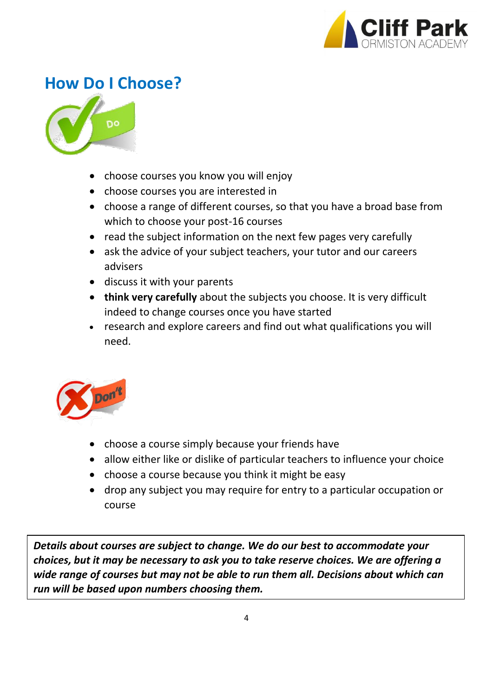

# **How Do I Choose?**



- choose courses you know you will enjoy
- choose courses you are interested in
- choose a range of different courses, so that you have a broad base from which to choose your post-16 courses
- read the subject information on the next few pages very carefully
- ask the advice of your subject teachers, your tutor and our careers advisers
- discuss it with your parents
- **think very carefully** about the subjects you choose. It is very difficult indeed to change courses once you have started
- research and explore careers and find out what qualifications you will need.



- choose a course simply because your friends have
- allow either like or dislike of particular teachers to influence your choice
- choose a course because you think it might be easy
- drop any subject you may require for entry to a particular occupation or course

*Details about courses are subject to change. We do our best to accommodate your choices, but it may be necessary to ask you to take reserve choices. We are offering a wide range of courses but may not be able to run them all. Decisions about which can run will be based upon numbers choosing them.*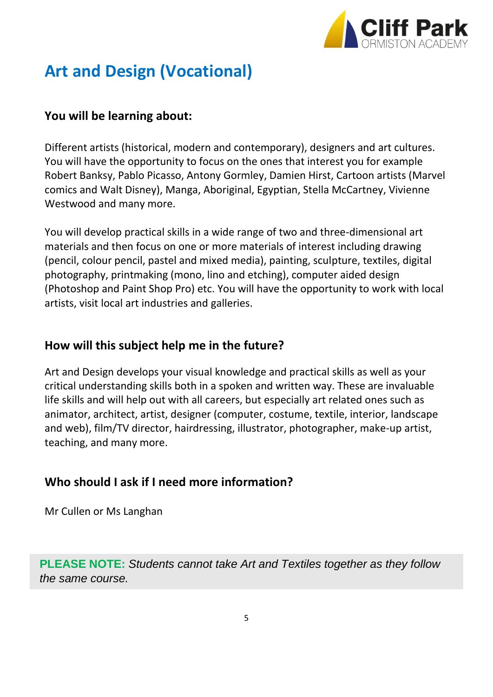

# **Art and Design (Vocational)**

### **You will be learning about:**

Different artists (historical, modern and contemporary), designers and art cultures. You will have the opportunity to focus on the ones that interest you for example Robert Banksy, Pablo Picasso, Antony Gormley, Damien Hirst, Cartoon artists (Marvel comics and Walt Disney), Manga, Aboriginal, Egyptian, Stella McCartney, Vivienne Westwood and many more.

You will develop practical skills in a wide range of two and three-dimensional art materials and then focus on one or more materials of interest including drawing (pencil, colour pencil, pastel and mixed media), painting, sculpture, textiles, digital photography, printmaking (mono, lino and etching), computer aided design (Photoshop and Paint Shop Pro) etc. You will have the opportunity to work with local artists, visit local art industries and galleries.

### **How will this subject help me in the future?**

Art and Design develops your visual knowledge and practical skills as well as your critical understanding skills both in a spoken and written way. These are invaluable life skills and will help out with all careers, but especially art related ones such as animator, architect, artist, designer (computer, costume, textile, interior, landscape and web), film/TV director, hairdressing, illustrator, photographer, make-up artist, teaching, and many more.

# **Who should I ask if I need more information?**

Mr Cullen or Ms Langhan

**PLEASE NOTE:** *Students cannot take Art and Textiles together as they follow the same course.*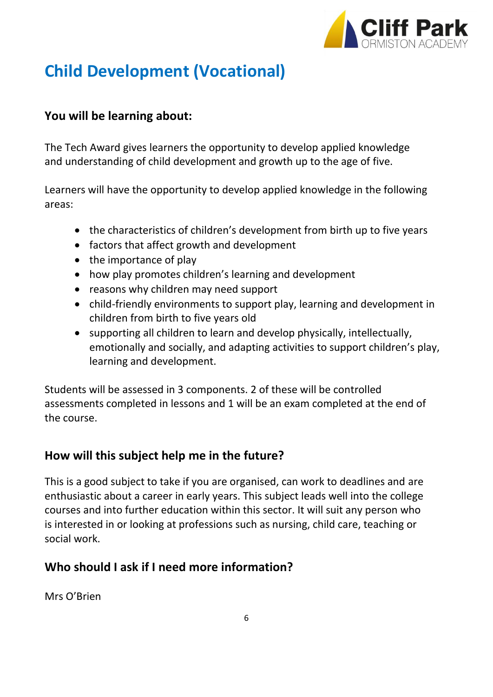

# **Child Development (Vocational)**

# **You will be learning about:**

The Tech Award gives learners the opportunity to develop applied knowledge and understanding of child development and growth up to the age of five.

Learners will have the opportunity to develop applied knowledge in the following areas:

- the characteristics of children's development from birth up to five years
- factors that affect growth and development
- the importance of play
- how play promotes children's learning and development
- reasons why children may need support
- child-friendly environments to support play, learning and development in children from birth to five years old
- supporting all children to learn and develop physically, intellectually, emotionally and socially, and adapting activities to support children's play, learning and development.

Students will be assessed in 3 components. 2 of these will be controlled assessments completed in lessons and 1 will be an exam completed at the end of the course.

# **How will this subject help me in the future?**

This is a good subject to take if you are organised, can work to deadlines and are enthusiastic about a career in early years. This subject leads well into the college courses and into further education within this sector. It will suit any person who is interested in or looking at professions such as nursing, child care, teaching or social work.

# **Who should I ask if I need more information?**

Mrs O'Brien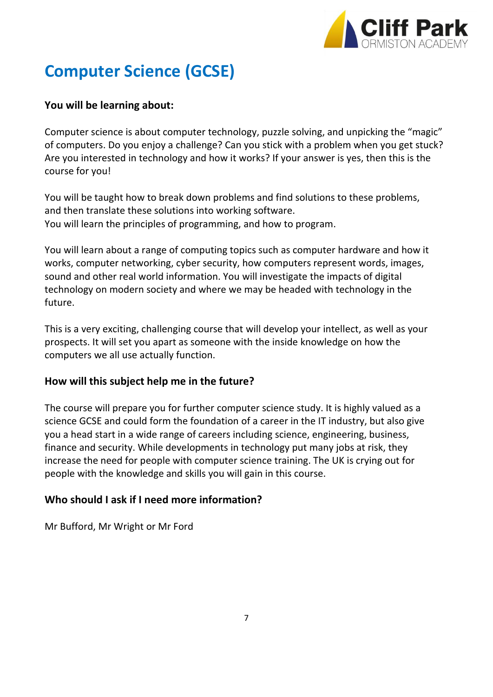

# **Computer Science (GCSE)**

#### **You will be learning about:**

Computer science is about computer technology, puzzle solving, and unpicking the "magic" of computers. Do you enjoy a challenge? Can you stick with a problem when you get stuck? Are you interested in technology and how it works? If your answer is yes, then this is the course for you!

You will be taught how to break down problems and find solutions to these problems, and then translate these solutions into working software. You will learn the principles of programming, and how to program.

You will learn about a range of computing topics such as computer hardware and how it works, computer networking, cyber security, how computers represent words, images, sound and other real world information. You will investigate the impacts of digital technology on modern society and where we may be headed with technology in the future.

This is a very exciting, challenging course that will develop your intellect, as well as your prospects. It will set you apart as someone with the inside knowledge on how the computers we all use actually function.

#### **How will this subject help me in the future?**

The course will prepare you for further computer science study. It is highly valued as a science GCSE and could form the foundation of a career in the IT industry, but also give you a head start in a wide range of careers including science, engineering, business, finance and security. While developments in technology put many jobs at risk, they increase the need for people with computer science training. The UK is crying out for people with the knowledge and skills you will gain in this course.

#### **Who should I ask if I need more information?**

Mr Bufford, Mr Wright or Mr Ford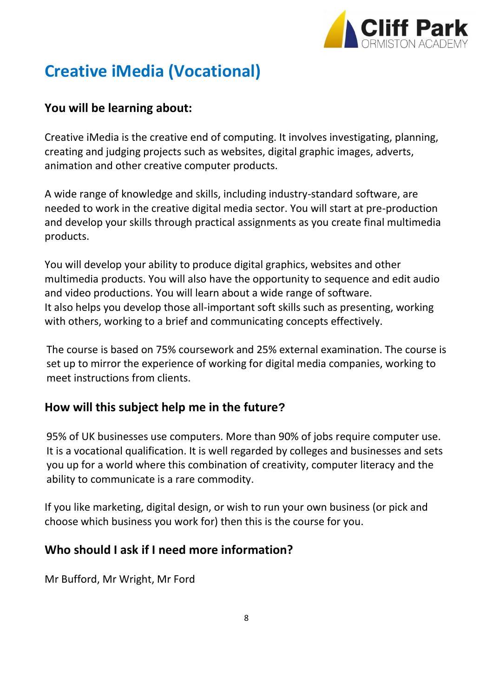

# **Creative iMedia (Vocational)**

### **You will be learning about:**

Creative iMedia is the creative end of computing. It involves investigating, planning, creating and judging projects such as websites, digital graphic images, adverts, animation and other creative computer products.

A wide range of knowledge and skills, including industry-standard software, are needed to work in the creative digital media sector. You will start at pre-production and develop your skills through practical assignments as you create final multimedia products.

You will develop your ability to produce digital graphics, websites and other multimedia products. You will also have the opportunity to sequence and edit audio and video productions. You will learn about a wide range of software. It also helps you develop those all-important soft skills such as presenting, working with others, working to a brief and communicating concepts effectively.

The course is based on 75% coursework and 25% external examination. The course is set up to mirror the experience of working for digital media companies, working to meet instructions from clients.

### **How will this subject help me in the future?**

95% of UK businesses use computers. More than 90% of jobs require computer use. It is a vocational qualification. It is well regarded by colleges and businesses and sets you up for a world where this combination of creativity, computer literacy and the ability to communicate is a rare commodity.

If you like marketing, digital design, or wish to run your own business (or pick and choose which business you work for) then this is the course for you.

### **Who should I ask if I need more information?**

Mr Bufford, Mr Wright, Mr Ford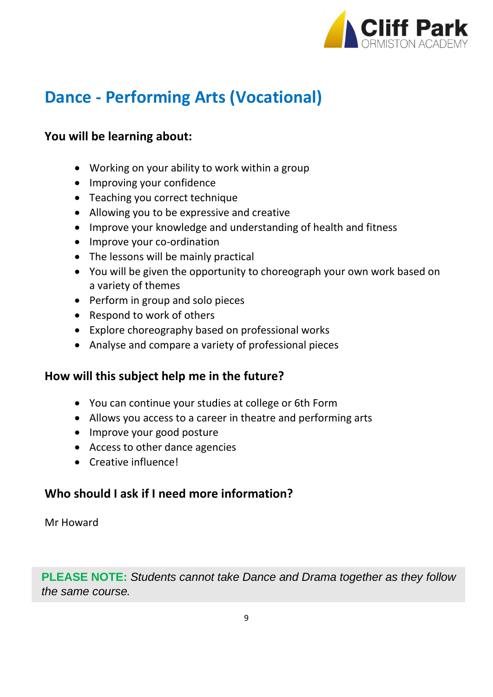

# **Dance - Performing Arts (Vocational)**

### **You will be learning about:**

- Working on your ability to work within a group
- Improving your confidence
- Teaching you correct technique
- Allowing you to be expressive and creative
- Improve your knowledge and understanding of health and fitness
- Improve your co-ordination
- The lessons will be mainly practical
- You will be given the opportunity to choreograph your own work based on a variety of themes
- Perform in group and solo pieces
- Respond to work of others
- Explore choreography based on professional works
- Analyse and compare a variety of professional pieces

### **How will this subject help me in the future?**

- You can continue your studies at college or 6th Form
- Allows you access to a career in theatre and performing arts
- Improve your good posture
- Access to other dance agencies
- Creative influence!

# **Who should I ask if I need more information?**

Mr Howard

**PLEASE NOTE:** *Students cannot take Dance and Drama together as they follow the same course.*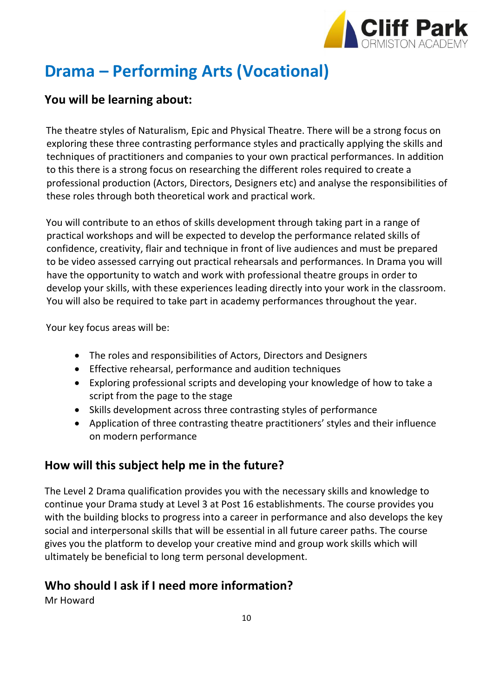

# **Drama – Performing Arts (Vocational)**

### **You will be learning about:**

The theatre styles of Naturalism, Epic and Physical Theatre. There will be a strong focus on exploring these three contrasting performance styles and practically applying the skills and techniques of practitioners and companies to your own practical performances. In addition to this there is a strong focus on researching the different roles required to create a professional production (Actors, Directors, Designers etc) and analyse the responsibilities of these roles through both theoretical work and practical work.

You will contribute to an ethos of skills development through taking part in a range of practical workshops and will be expected to develop the performance related skills of confidence, creativity, flair and technique in front of live audiences and must be prepared to be video assessed carrying out practical rehearsals and performances. In Drama you will have the opportunity to watch and work with professional theatre groups in order to develop your skills, with these experiences leading directly into your work in the classroom. You will also be required to take part in academy performances throughout the year.

Your key focus areas will be:

- The roles and responsibilities of Actors, Directors and Designers
- Effective rehearsal, performance and audition techniques
- Exploring professional scripts and developing your knowledge of how to take a script from the page to the stage
- Skills development across three contrasting styles of performance
- Application of three contrasting theatre practitioners' styles and their influence on modern performance

# **How will this subject help me in the future?**

The Level 2 Drama qualification provides you with the necessary skills and knowledge to continue your Drama study at Level 3 at Post 16 establishments. The course provides you with the building blocks to progress into a career in performance and also develops the key social and interpersonal skills that will be essential in all future career paths. The course gives you the platform to develop your creative mind and group work skills which will ultimately be beneficial to long term personal development.

# **Who should I ask if I need more information?**

Mr Howard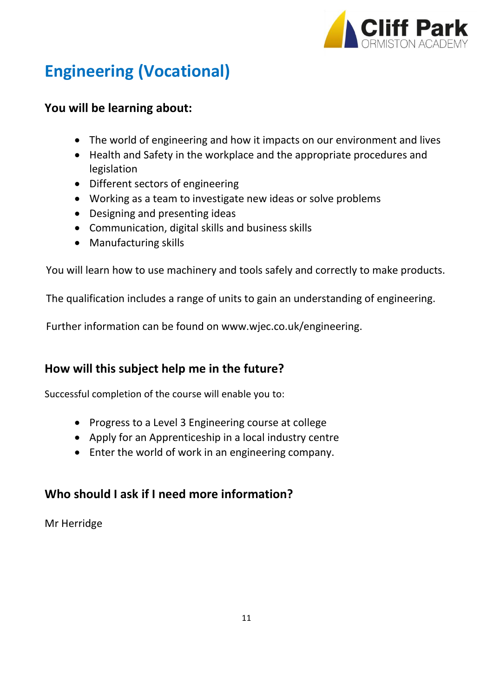

# **Engineering (Vocational)**

### **You will be learning about:**

- The world of engineering and how it impacts on our environment and lives
- Health and Safety in the workplace and the appropriate procedures and legislation
- Different sectors of engineering
- Working as a team to investigate new ideas or solve problems
- Designing and presenting ideas
- Communication, digital skills and business skills
- Manufacturing skills

You will learn how to use machinery and tools safely and correctly to make products.

The qualification includes a range of units to gain an understanding of engineering.

Further information can be found on www.wjec.co.uk/engineering.

# **How will this subject help me in the future?**

Successful completion of the course will enable you to:

- Progress to a Level 3 Engineering course at college
- Apply for an Apprenticeship in a local industry centre
- Enter the world of work in an engineering company.

# **Who should I ask if I need more information?**

Mr Herridge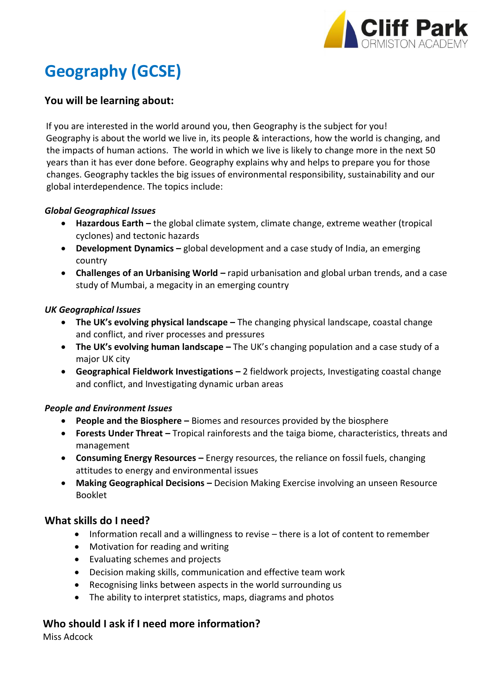

# **Geography (GCSE)**

#### **You will be learning about:**

If you are interested in the world around you, then Geography is the subject for you! Geography is about the world we live in, its people & interactions, how the world is changing, and the impacts of human actions. The world in which we live is likely to change more in the next 50 years than it has ever done before. Geography explains why and helps to prepare you for those changes. Geography tackles the big issues of environmental responsibility, sustainability and our global interdependence. The topics include:

#### *Global Geographical Issues*

- **Hazardous Earth –** the global climate system, climate change, extreme weather (tropical cyclones) and tectonic hazards
- **Development Dynamics –** global development and a case study of India, an emerging country
- **Challenges of an Urbanising World –** rapid urbanisation and global urban trends, and a case study of Mumbai, a megacity in an emerging country

#### *UK Geographical Issues*

- **The UK's evolving physical landscape –** The changing physical landscape, coastal change and conflict, and river processes and pressures
- **The UK's evolving human landscape –** The UK's changing population and a case study of a major UK city
- **Geographical Fieldwork Investigations –** 2 fieldwork projects, Investigating coastal change and conflict, and Investigating dynamic urban areas

#### *People and Environment Issues*

- **People and the Biosphere –** Biomes and resources provided by the biosphere
- **Forests Under Threat –** Tropical rainforests and the taiga biome, characteristics, threats and management
- **Consuming Energy Resources –** Energy resources, the reliance on fossil fuels, changing attitudes to energy and environmental issues
- **Making Geographical Decisions –** Decision Making Exercise involving an unseen Resource Booklet

#### **What skills do I need?**

- Information recall and a willingness to revise there is a lot of content to remember
- Motivation for reading and writing
- Evaluating schemes and projects
- Decision making skills, communication and effective team work
- Recognising links between aspects in the world surrounding us
- The ability to interpret statistics, maps, diagrams and photos

# Who should I ask if I need more information?

Miss Adcock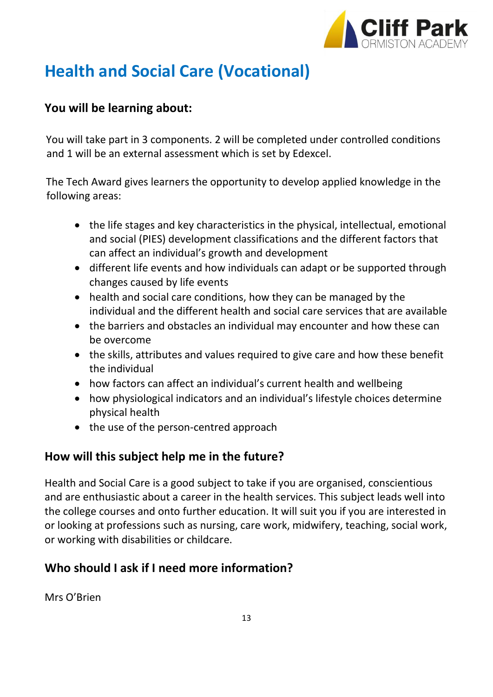

# **Health and Social Care (Vocational)**

# **You will be learning about:**

You will take part in 3 components. 2 will be completed under controlled conditions and 1 will be an external assessment which is set by Edexcel.

The Tech Award gives learners the opportunity to develop applied knowledge in the following areas:

- the life stages and key characteristics in the physical, intellectual, emotional and social (PIES) development classifications and the different factors that can affect an individual's growth and development
- different life events and how individuals can adapt or be supported through changes caused by life events
- health and social care conditions, how they can be managed by the individual and the different health and social care services that are available
- the barriers and obstacles an individual may encounter and how these can be overcome
- the skills, attributes and values required to give care and how these benefit the individual
- how factors can affect an individual's current health and wellbeing
- how physiological indicators and an individual's lifestyle choices determine physical health
- the use of the person-centred approach

# **How will this subject help me in the future?**

Health and Social Care is a good subject to take if you are organised, conscientious and are enthusiastic about a career in the health services. This subject leads well into the college courses and onto further education. It will suit you if you are interested in or looking at professions such as nursing, care work, midwifery, teaching, social work, or working with disabilities or childcare.

# **Who should I ask if I need more information?**

Mrs O'Brien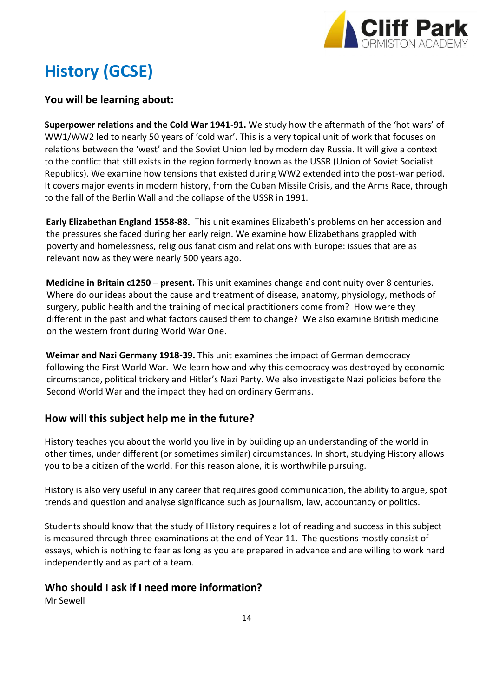

# **History (GCSE)**

#### **You will be learning about:**

**Superpower relations and the Cold War 1941-91.** We study how the aftermath of the 'hot wars' of WW1/WW2 led to nearly 50 years of 'cold war'. This is a very topical unit of work that focuses on relations between the 'west' and the Soviet Union led by modern day Russia. It will give a context to the conflict that still exists in the region formerly known as the USSR (Union of Soviet Socialist Republics). We examine how tensions that existed during WW2 extended into the post-war period. It covers major events in modern history, from the Cuban Missile Crisis, and the Arms Race, through to the fall of the Berlin Wall and the collapse of the USSR in 1991.

**Early Elizabethan England 1558-88.** This unit examines Elizabeth's problems on her accession and the pressures she faced during her early reign. We examine how Elizabethans grappled with poverty and homelessness, religious fanaticism and relations with Europe: issues that are as relevant now as they were nearly 500 years ago.

**Medicine in Britain c1250 – present.** This unit examines change and continuity over 8 centuries. Where do our ideas about the cause and treatment of disease, anatomy, physiology, methods of surgery, public health and the training of medical practitioners come from? How were they different in the past and what factors caused them to change? We also examine British medicine on the western front during World War One.

**Weimar and Nazi Germany 1918-39.** This unit examines the impact of German democracy following the First World War. We learn how and why this democracy was destroyed by economic circumstance, political trickery and Hitler's Nazi Party. We also investigate Nazi policies before the Second World War and the impact they had on ordinary Germans.

#### **How will this subject help me in the future?**

History teaches you about the world you live in by building up an understanding of the world in other times, under different (or sometimes similar) circumstances. In short, studying History allows you to be a citizen of the world. For this reason alone, it is worthwhile pursuing.

History is also very useful in any career that requires good communication, the ability to argue, spot trends and question and analyse significance such as journalism, law, accountancy or politics.

Students should know that the study of History requires a lot of reading and success in this subject is measured through three examinations at the end of Year 11. The questions mostly consist of essays, which is nothing to fear as long as you are prepared in advance and are willing to work hard independently and as part of a team.

#### **Who should I ask if I need more information?**

Mr Sewell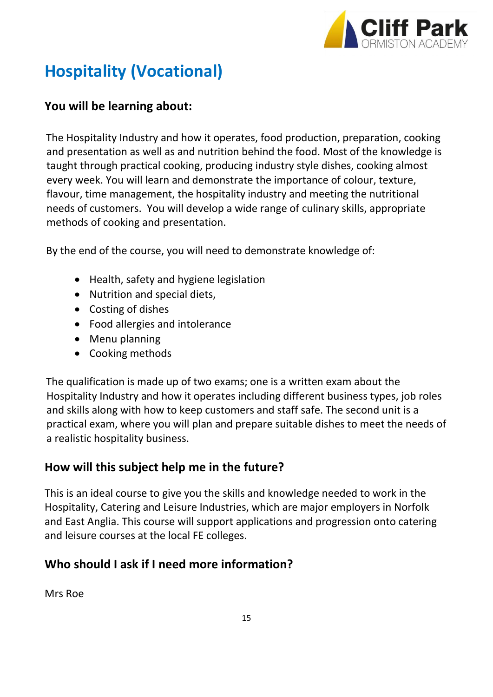

# **Hospitality (Vocational)**

### **You will be learning about:**

The Hospitality Industry and how it operates, food production, preparation, cooking and presentation as well as and nutrition behind the food. Most of the knowledge is taught through practical cooking, producing industry style dishes, cooking almost every week. You will learn and demonstrate the importance of colour, texture, flavour, time management, the hospitality industry and meeting the nutritional needs of customers. You will develop a wide range of culinary skills, appropriate methods of cooking and presentation.

By the end of the course, you will need to demonstrate knowledge of:

- Health, safety and hygiene legislation
- Nutrition and special diets,
- Costing of dishes
- Food allergies and intolerance
- Menu planning
- Cooking methods

The qualification is made up of two exams; one is a written exam about the Hospitality Industry and how it operates including different business types, job roles and skills along with how to keep customers and staff safe. The second unit is a practical exam, where you will plan and prepare suitable dishes to meet the needs of a realistic hospitality business.

# **How will this subject help me in the future?**

This is an ideal course to give you the skills and knowledge needed to work in the Hospitality, Catering and Leisure Industries, which are major employers in Norfolk and East Anglia. This course will support applications and progression onto catering and leisure courses at the local FE colleges.

# **Who should I ask if I need more information?**

Mrs Roe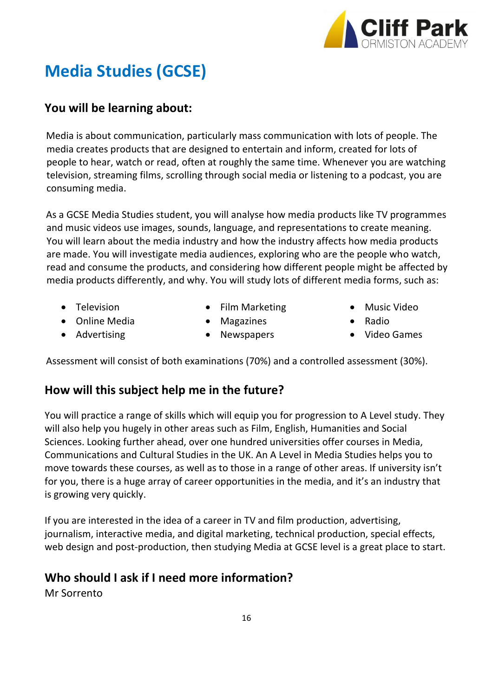

# **Media Studies (GCSE)**

### **You will be learning about:**

Media is about communication, particularly mass communication with lots of people. The media creates products that are designed to entertain and inform, created for lots of people to hear, watch or read, often at roughly the same time. Whenever you are watching television, streaming films, scrolling through social media or listening to a podcast, you are consuming media.

As a GCSE Media Studies student, you will analyse how media products like TV programmes and music videos use images, sounds, language, and representations to create meaning. You will learn about the media industry and how the industry affects how media products are made. You will investigate media audiences, exploring who are the people who watch, read and consume the products, and considering how different people might be affected by media products differently, and why. You will study lots of different media forms, such as:

• Television

- Film Marketing
- Online Media
- Advertising
- **Magazines**
- **Newspapers**
- Music Video
- Radio
- Video Games

Assessment will consist of both examinations (70%) and a controlled assessment (30%).

### **How will this subject help me in the future?**

You will practice a range of skills which will equip you for progression to A Level study. They will also help you hugely in other areas such as Film, English, Humanities and Social Sciences. Looking further ahead, over one hundred universities offer courses in Media, Communications and Cultural Studies in the UK. An A Level in Media Studies helps you to move towards these courses, as well as to those in a range of other areas. If university isn't for you, there is a huge array of career opportunities in the media, and it's an industry that is growing very quickly.

If you are interested in the idea of a career in TV and film production, advertising, journalism, interactive media, and digital marketing, technical production, special effects, web design and post-production, then studying Media at GCSE level is a great place to start.

#### **Who should I ask if I need more information?**

Mr Sorrento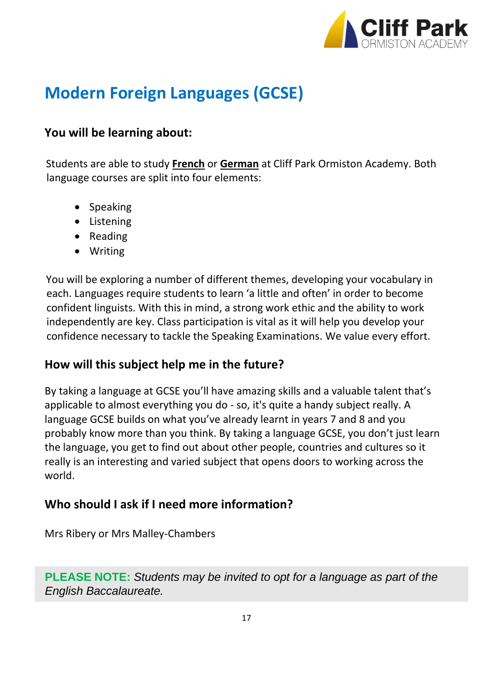

# **Modern Foreign Languages (GCSE)**

### **You will be learning about:**

Students are able to study **French** or **German** at Cliff Park Ormiston Academy. Both language courses are split into four elements:

- Speaking
- Listening
- Reading
- Writing

You will be exploring a number of different themes, developing your vocabulary in each. Languages require students to learn 'a little and often' in order to become confident linguists. With this in mind, a strong work ethic and the ability to work independently are key. Class participation is vital as it will help you develop your confidence necessary to tackle the Speaking Examinations. We value every effort.

### **How will this subject help me in the future?**

By taking a language at GCSE you'll have amazing skills and a valuable talent that's applicable to almost everything you do - so, it's quite a handy subject really. A language GCSE builds on what you've already learnt in years 7 and 8 and you probably know more than you think. By taking a language GCSE, you don't just learn the language, you get to find out about other people, countries and cultures so it really is an interesting and varied subject that opens doors to working across the world.

# **Who should I ask if I need more information?**

Mrs Ribery or Mrs Malley-Chambers

**PLEASE NOTE:** *Students may be invited to opt for a language as part of the English Baccalaureate.*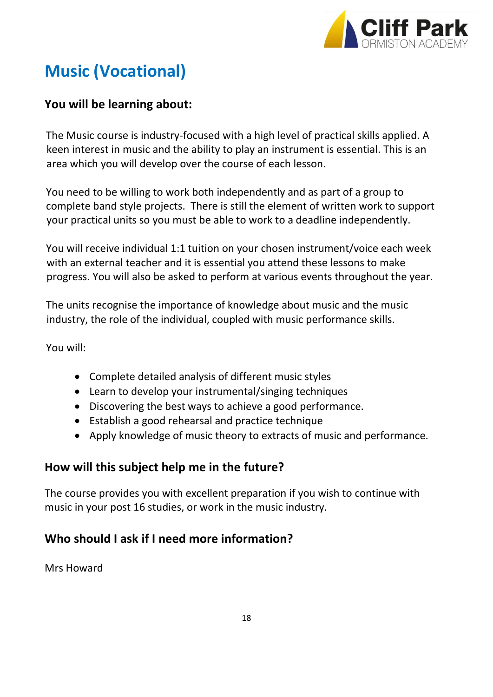

# **Music (Vocational)**

# **You will be learning about:**

The Music course is industry-focused with a high level of practical skills applied. A keen interest in music and the ability to play an instrument is essential. This is an area which you will develop over the course of each lesson.

You need to be willing to work both independently and as part of a group to complete band style projects. There is still the element of written work to support your practical units so you must be able to work to a deadline independently.

You will receive individual 1:1 tuition on your chosen instrument/voice each week with an external teacher and it is essential you attend these lessons to make progress. You will also be asked to perform at various events throughout the year.

The units recognise the importance of knowledge about music and the music industry, the role of the individual, coupled with music performance skills.

You will:

- Complete detailed analysis of different music styles
- Learn to develop your instrumental/singing techniques
- Discovering the best ways to achieve a good performance.
- Establish a good rehearsal and practice technique
- Apply knowledge of music theory to extracts of music and performance.

# **How will this subject help me in the future?**

The course provides you with excellent preparation if you wish to continue with music in your post 16 studies, or work in the music industry.

# **Who should I ask if I need more information?**

Mrs Howard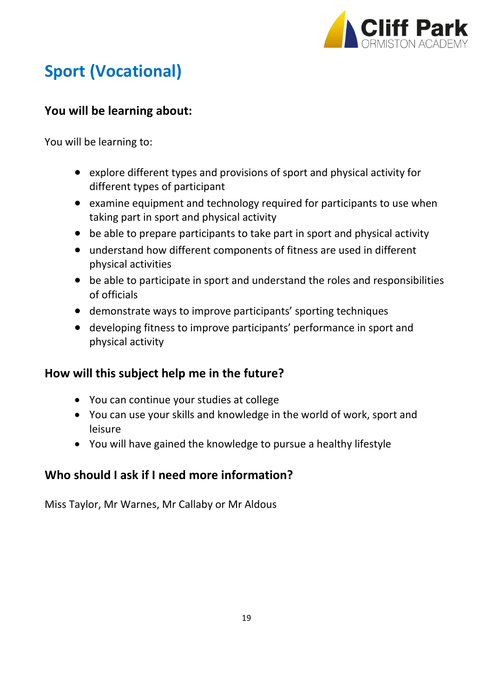

# **Sport (Vocational)**

# **You will be learning about:**

You will be learning to:

- explore different types and provisions of sport and physical activity for different types of participant
- examine equipment and technology required for participants to use when taking part in sport and physical activity
- be able to prepare participants to take part in sport and physical activity
- understand how different components of fitness are used in different physical activities
- be able to participate in sport and understand the roles and responsibilities of officials
- demonstrate ways to improve participants' sporting techniques
- developing fitness to improve participants' performance in sport and physical activity

# **How will this subject help me in the future?**

- You can continue your studies at college
- You can use your skills and knowledge in the world of work, sport and leisure
- You will have gained the knowledge to pursue a healthy lifestyle

# **Who should I ask if I need more information?**

Miss Taylor, Mr Warnes, Mr Callaby or Mr Aldous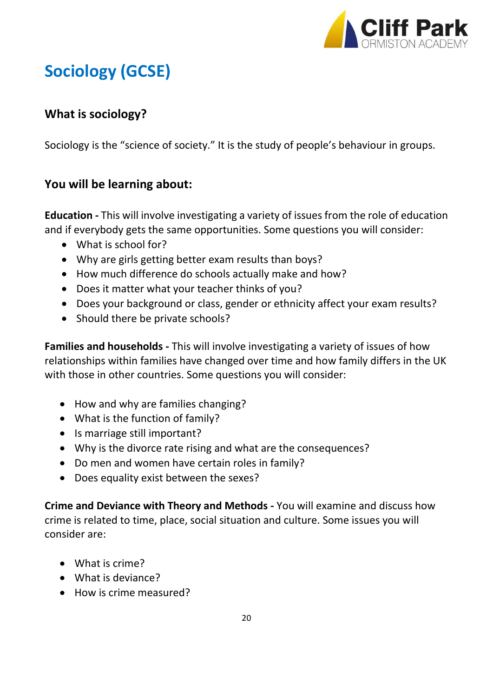

# **Sociology (GCSE)**

# **What is sociology?**

Sociology is the "science of society." It is the study of people's behaviour in groups.

# **You will be learning about:**

**Education -** This will involve investigating a variety of issues from the role of education and if everybody gets the same opportunities. Some questions you will consider:

- What is school for?
- Why are girls getting better exam results than boys?
- How much difference do schools actually make and how?
- Does it matter what your teacher thinks of you?
- Does your background or class, gender or ethnicity affect your exam results?
- Should there be private schools?

**Families and households -** This will involve investigating a variety of issues of how relationships within families have changed over time and how family differs in the UK with those in other countries. Some questions you will consider:

- How and why are families changing?
- What is the function of family?
- Is marriage still important?
- Why is the divorce rate rising and what are the consequences?
- Do men and women have certain roles in family?
- Does equality exist between the sexes?

**Crime and Deviance with Theory and Methods -** You will examine and discuss how crime is related to time, place, social situation and culture. Some issues you will consider are:

- What is crime?
- What is deviance?
- How is crime measured?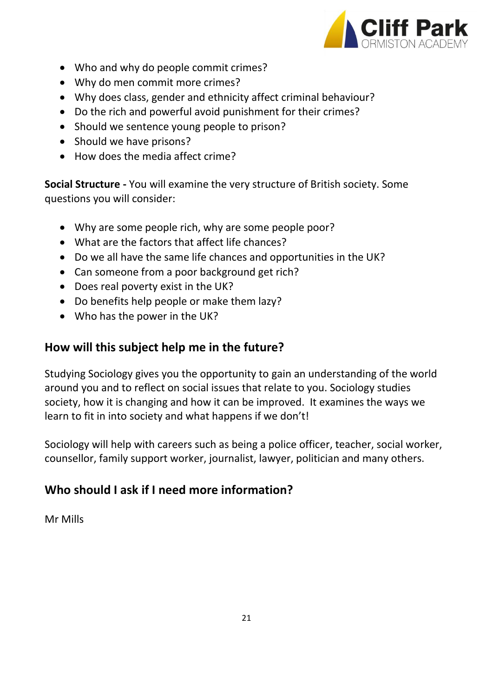

- Who and why do people commit crimes?
- Why do men commit more crimes?
- Why does class, gender and ethnicity affect criminal behaviour?
- Do the rich and powerful avoid punishment for their crimes?
- Should we sentence young people to prison?
- Should we have prisons?
- How does the media affect crime?

**Social Structure -** You will examine the very structure of British society. Some questions you will consider:

- Why are some people rich, why are some people poor?
- What are the factors that affect life chances?
- Do we all have the same life chances and opportunities in the UK?
- Can someone from a poor background get rich?
- Does real poverty exist in the UK?
- Do benefits help people or make them lazy?
- Who has the power in the UK?

# **How will this subject help me in the future?**

Studying Sociology gives you the opportunity to gain an understanding of the world around you and to reflect on social issues that relate to you. Sociology studies society, how it is changing and how it can be improved. It examines the ways we learn to fit in into society and what happens if we don't!

Sociology will help with careers such as being a police officer, teacher, social worker, counsellor, family support worker, journalist, lawyer, politician and many others.

# **Who should I ask if I need more information?**

Mr Mills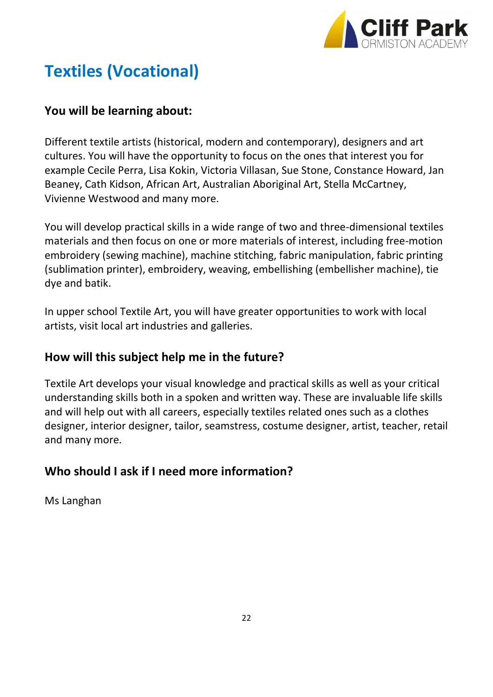

# **Textiles (Vocational)**

### **You will be learning about:**

Different textile artists (historical, modern and contemporary), designers and art cultures. You will have the opportunity to focus on the ones that interest you for example Cecile Perra, Lisa Kokin, Victoria Villasan, Sue Stone, Constance Howard, Jan Beaney, Cath Kidson, African Art, Australian Aboriginal Art, Stella McCartney, Vivienne Westwood and many more.

You will develop practical skills in a wide range of two and three-dimensional textiles materials and then focus on one or more materials of interest, including free-motion embroidery (sewing machine), machine stitching, fabric manipulation, fabric printing (sublimation printer), embroidery, weaving, embellishing (embellisher machine), tie dye and batik.

In upper school Textile Art, you will have greater opportunities to work with local artists, visit local art industries and galleries.

### **How will this subject help me in the future?**

Textile Art develops your visual knowledge and practical skills as well as your critical understanding skills both in a spoken and written way. These are invaluable life skills and will help out with all careers, especially textiles related ones such as a clothes designer, interior designer, tailor, seamstress, costume designer, artist, teacher, retail and many more.

# **Who should I ask if I need more information?**

Ms Langhan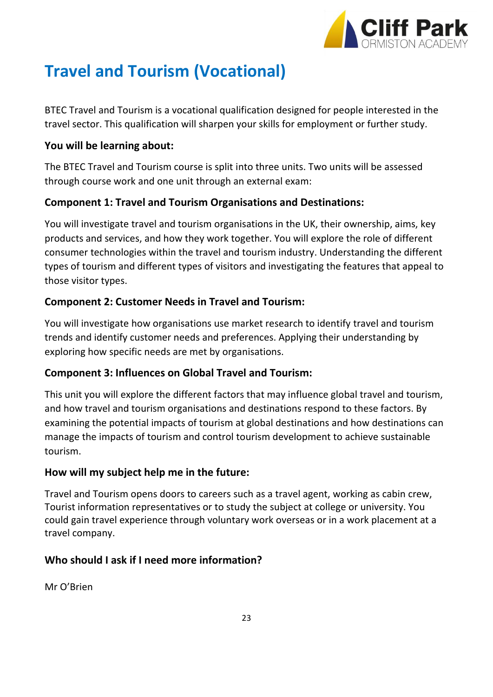

# **Travel and Tourism (Vocational)**

BTEC Travel and Tourism is a vocational qualification designed for people interested in the travel sector. This qualification will sharpen your skills for employment or further study.

#### **You will be learning about:**

The BTEC Travel and Tourism course is split into three units. Two units will be assessed through course work and one unit through an external exam:

### **Component 1: Travel and Tourism Organisations and Destinations:**

You will investigate travel and tourism organisations in the UK, their ownership, aims, key products and services, and how they work together. You will explore the role of different consumer technologies within the travel and tourism industry. Understanding the different types of tourism and different types of visitors and investigating the features that appeal to those visitor types.

### **Component 2: Customer Needs in Travel and Tourism:**

You will investigate how organisations use market research to identify travel and tourism trends and identify customer needs and preferences. Applying their understanding by exploring how specific needs are met by organisations.

#### **Component 3: Influences on Global Travel and Tourism:**

This unit you will explore the different factors that may influence global travel and tourism, and how travel and tourism organisations and destinations respond to these factors. By examining the potential impacts of tourism at global destinations and how destinations can manage the impacts of tourism and control tourism development to achieve sustainable tourism.

#### **How will my subject help me in the future:**

Travel and Tourism opens doors to careers such as a travel agent, working as cabin crew, Tourist information representatives or to study the subject at college or university. You could gain travel experience through voluntary work overseas or in a work placement at a travel company.

### **Who should I ask if I need more information?**

Mr O'Brien